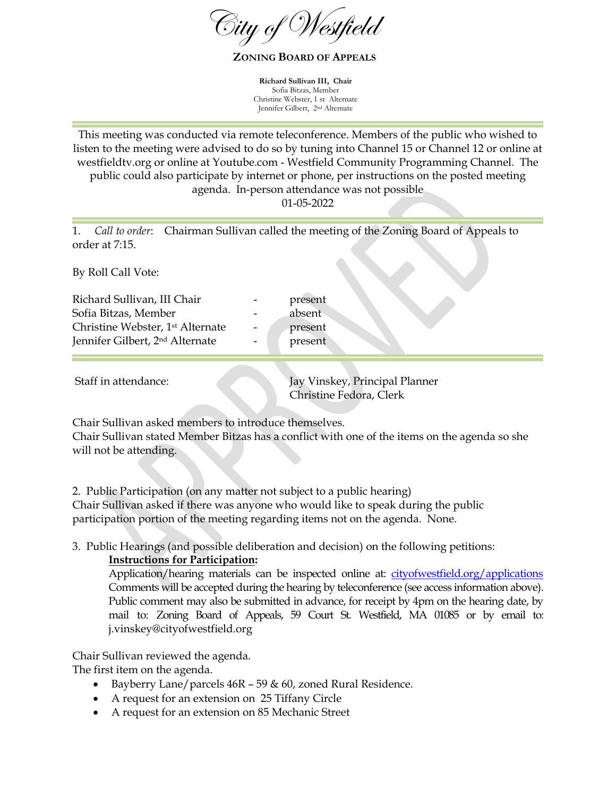$\widehat{\mathcal{O}}$ ity of  $\widehat{\mathcal{O}}$ 

**ZONING BOARD OF APPEALS**

**Richard Sullivan III, Chair**  Sofia Bitzas, Member Christine Webster, 1 st Alternate Jennifer Gilbert, 2nd Alternate

This meeting was conducted via remote teleconference. Members of the public who wished to listen to the meeting were advised to do so by tuning into Channel 15 or Channel 12 or online at westfieldtv.org or online at Youtube.com - Westfield Community Programming Channel. The public could also participate by internet or phone, per instructions on the posted meeting agenda. In-person attendance was not possible

01-05-2022

present absent present present

1. *Call to order*: Chairman Sullivan called the meeting of the Zoning Board of Appeals to order at 7:15.

By Roll Call Vote:

| Richard Sullivan, III Chair                  |  |
|----------------------------------------------|--|
| Sofia Bitzas, Member                         |  |
| Christine Webster, 1 <sup>st</sup> Alternate |  |
| Jennifer Gilbert, 2 <sup>nd</sup> Alternate  |  |
|                                              |  |

 Staff in attendance: Jay Vinskey, Principal Planner Christine Fedora, Clerk

Chair Sullivan asked members to introduce themselves.

Chair Sullivan stated Member Bitzas has a conflict with one of the items on the agenda so she will not be attending.

2. Public Participation (on any matter not subject to a public hearing) Chair Sullivan asked if there was anyone who would like to speak during the public participation portion of the meeting regarding items not on the agenda. None.

3. Public Hearings (and possible deliberation and decision) on the following petitions:

## **Instructions for Participation:**

Application/hearing materials can be inspected online at: cityofwestfield.org/applications Comments will be accepted during the hearing by teleconference (see access information above). Public comment may also be submitted in advance, for receipt by 4pm on the hearing date, by mail to: Zoning Board of Appeals, 59 Court St. Westfield, MA 01085 or by email to: j.vinskey@cityofwestfield.org

Chair Sullivan reviewed the agenda.

The first item on the agenda.

- Bayberry Lane/parcels  $46R 59$  & 60, zoned Rural Residence.
- A request for an extension on 25 Tiffany Circle
- A request for an extension on 85 Mechanic Street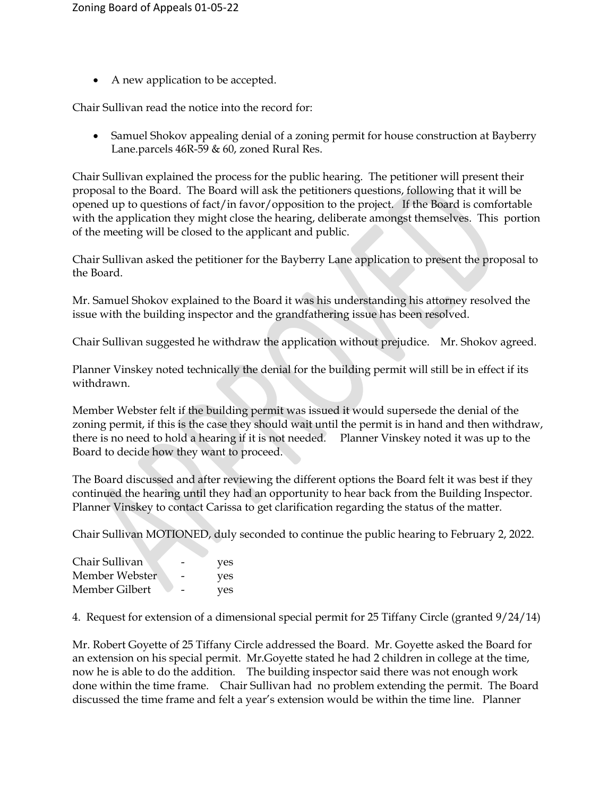• A new application to be accepted.

Chair Sullivan read the notice into the record for:

 Samuel Shokov appealing denial of a zoning permit for house construction at Bayberry Lane.parcels 46R-59 & 60, zoned Rural Res.

Chair Sullivan explained the process for the public hearing. The petitioner will present their proposal to the Board. The Board will ask the petitioners questions, following that it will be opened up to questions of fact/in favor/opposition to the project. If the Board is comfortable with the application they might close the hearing, deliberate amongst themselves. This portion of the meeting will be closed to the applicant and public.

Chair Sullivan asked the petitioner for the Bayberry Lane application to present the proposal to the Board.

Mr. Samuel Shokov explained to the Board it was his understanding his attorney resolved the issue with the building inspector and the grandfathering issue has been resolved.

Chair Sullivan suggested he withdraw the application without prejudice. Mr. Shokov agreed.

Planner Vinskey noted technically the denial for the building permit will still be in effect if its withdrawn.

Member Webster felt if the building permit was issued it would supersede the denial of the zoning permit, if this is the case they should wait until the permit is in hand and then withdraw, there is no need to hold a hearing if it is not needed. Planner Vinskey noted it was up to the Board to decide how they want to proceed.

The Board discussed and after reviewing the different options the Board felt it was best if they continued the hearing until they had an opportunity to hear back from the Building Inspector. Planner Vinskey to contact Carissa to get clarification regarding the status of the matter.

Chair Sullivan MOTIONED, duly seconded to continue the public hearing to February 2, 2022.

| Chair Sullivan | - | yes |
|----------------|---|-----|
| Member Webster | - | yes |
| Member Gilbert |   | yes |

4. Request for extension of a dimensional special permit for 25 Tiffany Circle (granted 9/24/14)

Mr. Robert Goyette of 25 Tiffany Circle addressed the Board. Mr. Goyette asked the Board for an extension on his special permit. Mr.Goyette stated he had 2 children in college at the time, now he is able to do the addition. The building inspector said there was not enough work done within the time frame. Chair Sullivan had no problem extending the permit. The Board discussed the time frame and felt a year's extension would be within the time line. Planner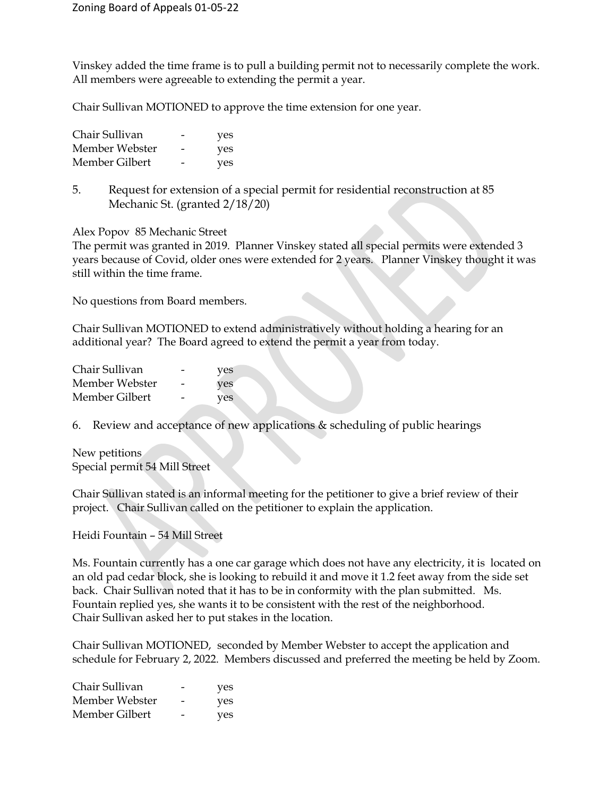Vinskey added the time frame is to pull a building permit not to necessarily complete the work. All members were agreeable to extending the permit a year.

Chair Sullivan MOTIONED to approve the time extension for one year.

| Chair Sullivan | -                        | yes |
|----------------|--------------------------|-----|
| Member Webster | $\overline{\phantom{0}}$ | yes |
| Member Gilbert | $\overline{\phantom{0}}$ | yes |

5. Request for extension of a special permit for residential reconstruction at 85 Mechanic St. (granted 2/18/20)

Alex Popov 85 Mechanic Street

The permit was granted in 2019. Planner Vinskey stated all special permits were extended 3 years because of Covid, older ones were extended for 2 years. Planner Vinskey thought it was still within the time frame.

No questions from Board members.

Chair Sullivan MOTIONED to extend administratively without holding a hearing for an additional year? The Board agreed to extend the permit a year from today.

| Chair Sullivan | $\overline{\phantom{0}}$ | yes |
|----------------|--------------------------|-----|
| Member Webster | -                        | yes |
| Member Gilbert | $\overline{\phantom{0}}$ | yes |

6. Review and acceptance of new applications & scheduling of public hearings

New petitions Special permit 54 Mill Street

Chair Sullivan stated is an informal meeting for the petitioner to give a brief review of their project. Chair Sullivan called on the petitioner to explain the application.

Heidi Fountain – 54 Mill Street

Ms. Fountain currently has a one car garage which does not have any electricity, it is located on an old pad cedar block, she is looking to rebuild it and move it 1.2 feet away from the side set back. Chair Sullivan noted that it has to be in conformity with the plan submitted. Ms. Fountain replied yes, she wants it to be consistent with the rest of the neighborhood. Chair Sullivan asked her to put stakes in the location.

Chair Sullivan MOTIONED, seconded by Member Webster to accept the application and schedule for February 2, 2022. Members discussed and preferred the meeting be held by Zoom.

| Chair Sullivan | -                        | yes |
|----------------|--------------------------|-----|
| Member Webster | $\overline{\phantom{0}}$ | yes |
| Member Gilbert | $\overline{\phantom{0}}$ | yes |